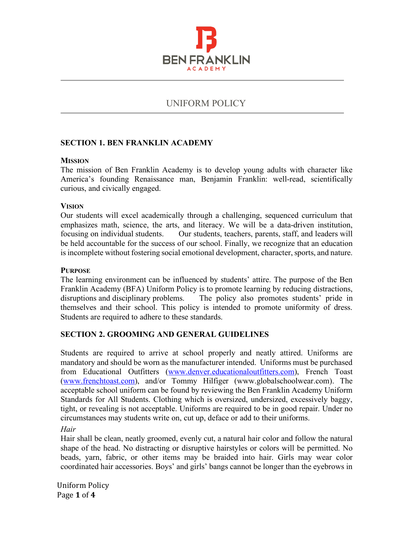

# UNIFORM POLICY

# **SECTION 1. BEN FRANKLIN ACADEMY**

#### **MISSION**

The mission of Ben Franklin Academy is to develop young adults with character like America's founding Renaissance man, Benjamin Franklin: well-read, scientifically curious, and civically engaged.

# **VISION**

Our students will excel academically through a challenging, sequenced curriculum that emphasizes math, science, the arts, and literacy. We will be a data-driven institution, focusing on individual students. Our students, teachers, parents, staff, and leaders will be held accountable for the success of our school. Finally, we recognize that an education is incomplete without fostering social emotional development, character, sports, and nature.

## **PURPOSE**

The learning environment can be influenced by students' attire. The purpose of the Ben Franklin Academy (BFA) Uniform Policy is to promote learning by reducing distractions, disruptions and disciplinary problems. The policy also promotes students' pride in The policy also promotes students' pride in themselves and their school. This policy is intended to promote uniformity of dress. Students are required to adhere to these standards.

# **SECTION 2. GROOMING AND GENERAL GUIDELINES**

Students are required to arrive at school properly and neatly attired. Uniforms are mandatory and should be worn as the manufacturer intended. Uniforms must be purchased from Educational Outfitters [\(www.denver.educationaloutfitters.com\)](http://www.denver.educationaloutfitters.com/), French Toast [\(www.frenchtoast.com\)](http://www.frenchtoast.com/), and/or Tommy Hilfiger (www.globalschoolwear.com). The acceptable school uniform can be found by reviewing the Ben Franklin Academy Uniform Standards for All Students. Clothing which is oversized, undersized, excessively baggy, tight, or revealing is not acceptable. Uniforms are required to be in good repair. Under no circumstances may students write on, cut up, deface or add to their uniforms.

#### *Hair*

Hair shall be clean, neatly groomed, evenly cut, a natural hair color and follow the natural shape of the head. No distracting or disruptive hairstyles or colors will be permitted. No beads, yarn, fabric, or other items may be braided into hair. Girls may wear color coordinated hair accessories. Boys' and girls' bangs cannot be longer than the eyebrows in

Uniform Policy Page **1** of **4**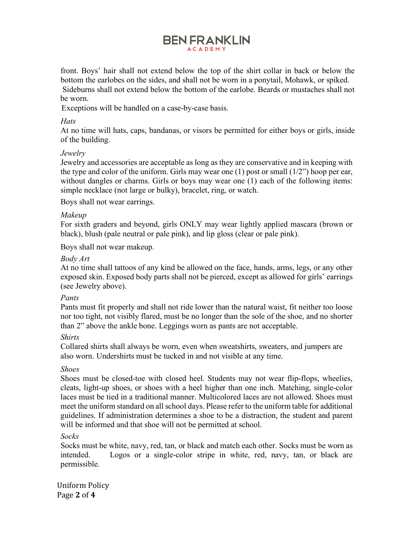# **BEN FRANKLIN ACADEM**

front. Boys' hair shall not extend below the top of the shirt collar in back or below the bottom the earlobes on the sides, and shall not be worn in a ponytail, Mohawk, or spiked. Sideburns shall not extend below the bottom of the earlobe. Beards or mustaches shall not be worn.

Exceptions will be handled on a case-by-case basis.

## *Hats*

At no time will hats, caps, bandanas, or visors be permitted for either boys or girls, inside of the building.

#### *Jewelry*

Jewelry and accessories are acceptable as long as they are conservative and in keeping with the type and color of the uniform. Girls may wear one  $(1)$  post or small  $(1/2)$  hoop per ear, without dangles or charms. Girls or boys may wear one (1) each of the following items: simple necklace (not large or bulky), bracelet, ring, or watch.

Boys shall not wear earrings.

#### *Makeup*

For sixth graders and beyond, girls ONLY may wear lightly applied mascara (brown or black), blush (pale neutral or pale pink), and lip gloss (clear or pale pink).

Boys shall not wear makeup.

#### *Body Art*

At no time shall tattoos of any kind be allowed on the face, hands, arms, legs, or any other exposed skin. Exposed body parts shall not be pierced, except as allowed for girls' earrings (see Jewelry above).

#### *Pants*

Pants must fit properly and shall not ride lower than the natural waist, fit neither too loose nor too tight, not visibly flared, must be no longer than the sole of the shoe, and no shorter than 2" above the ankle bone. Leggings worn as pants are not acceptable.

#### *Shirts*

Collared shirts shall always be worn, even when sweatshirts, sweaters, and jumpers are also worn. Undershirts must be tucked in and not visible at any time.

#### *Shoes*

Shoes must be closed-toe with closed heel. Students may not wear flip-flops, wheelies, cleats, light-up shoes, or shoes with a heel higher than one inch. Matching, single-color laces must be tied in a traditional manner. Multicolored laces are not allowed. Shoes must meet the uniform standard on all school days. Please refer to the uniform table for additional guidelines. If administration determines a shoe to be a distraction, the student and parent will be informed and that shoe will not be permitted at school.

#### *Socks*

Socks must be white, navy, red, tan, or black and match each other. Socks must be worn as intended. Logos or a single-color stripe in white, red, navy, tan, or black are permissible.

Uniform Policy Page **2** of **4**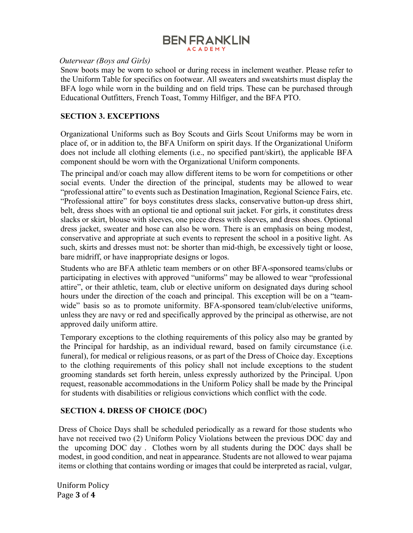# **BEN FRANKLIN ACADEM**

#### *Outerwear (Boys and Girls)*

Snow boots may be worn to school or during recess in inclement weather. Please refer to the Uniform Table for specifics on footwear. All sweaters and sweatshirts must display the BFA logo while worn in the building and on field trips. These can be purchased through Educational Outfitters, French Toast, Tommy Hilfiger, and the BFA PTO.

#### **SECTION 3. EXCEPTIONS**

Organizational Uniforms such as Boy Scouts and Girls Scout Uniforms may be worn in place of, or in addition to, the BFA Uniform on spirit days. If the Organizational Uniform does not include all clothing elements (i.e., no specified pant/skirt), the applicable BFA component should be worn with the Organizational Uniform components.

The principal and/or coach may allow different items to be worn for competitions or other social events. Under the direction of the principal, students may be allowed to wear "professional attire" to events such as Destination Imagination, Regional Science Fairs, etc. "Professional attire" for boys constitutes dress slacks, conservative button-up dress shirt, belt, dress shoes with an optional tie and optional suit jacket. For girls, it constitutes dress slacks or skirt, blouse with sleeves, one piece dress with sleeves, and dress shoes. Optional dress jacket, sweater and hose can also be worn. There is an emphasis on being modest, conservative and appropriate at such events to represent the school in a positive light. As such, skirts and dresses must not: be shorter than mid-thigh, be excessively tight or loose, bare midriff, or have inappropriate designs or logos.

Students who are BFA athletic team members or on other BFA-sponsored teams/clubs or participating in electives with approved "uniforms" may be allowed to wear "professional attire", or their athletic, team, club or elective uniform on designated days during school hours under the direction of the coach and principal. This exception will be on a "teamwide" basis so as to promote uniformity. BFA-sponsored team/club/elective uniforms, unless they are navy or red and specifically approved by the principal as otherwise, are not approved daily uniform attire.

Temporary exceptions to the clothing requirements of this policy also may be granted by the Principal for hardship, as an individual reward, based on family circumstance (i.e. funeral), for medical or religious reasons, or as part of the Dress of Choice day. Exceptions to the clothing requirements of this policy shall not include exceptions to the student grooming standards set forth herein, unless expressly authorized by the Principal. Upon request, reasonable accommodations in the Uniform Policy shall be made by the Principal for students with disabilities or religious convictions which conflict with the code.

#### **SECTION 4. DRESS OF CHOICE (DOC)**

Dress of Choice Days shall be scheduled periodically as a reward for those students who have not received two (2) Uniform Policy Violations between the previous DOC day and the upcoming DOC day . Clothes worn by all students during the DOC days shall be modest, in good condition, and neat in appearance. Students are not allowed to wear pajama items or clothing that contains wording or images that could be interpreted as racial, vulgar,

Uniform Policy Page **3** of **4**